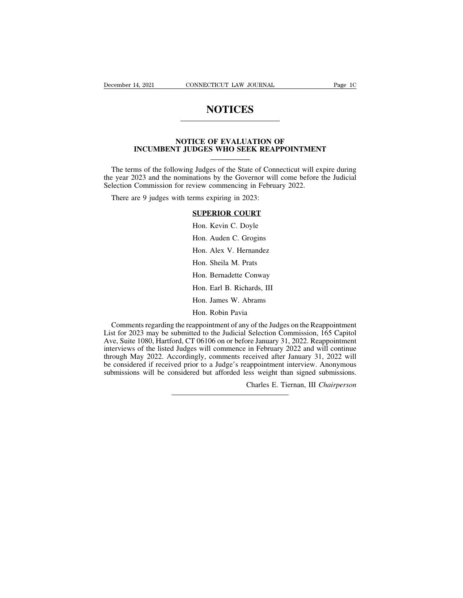## **NOTICES**

# **NOTICES**<br>
NOTICES<br>
NOTICE OF EVALUATION OF<br>
T JUDGES WHO SEEK REAPPOINTMENT **INCUMBENT JUDGES WHO SEEK REAPPOINTMENT**

The terms of the following Judges of the State of Connecticut will expire during **NOTICE OF EVALUATION OF**<br> **INCUMBENT JUDGES WHO SEEK REAPPOINTMENT**<br>
The terms of the following Judges of the State of Connecticut will expire during<br>
the year 2023 and the nominations by the Governor will come before the **SELECT: SELECT: NOTICE OF EVALUATION OF**<br> **INCUMBENT JUDGES WHO SEEK REAPPOINTMENT**<br>
The terms of the following Judges of the State of Connecticut will ex<br>
the year 2023 and the nominations by the Governor will come b INCUMBENT JUDGES WHO SEEK REAF<br>The terms of the following Judges of the State of Conre-<br>Per 2023 and the nominations by the Governor will<br>lection Commission for review commencing in Februar<br>There are 9 judges with terms ex For Sudges of the State of Connecticut wations by the Governor will come be<br>view commencing in February 2022.<br>The expiring in 2023:<br>**SUPERIOR COURT**<br>Hon. Kevin C. Doyle the year 2023 and the nominations by the Governor will come before the Judicial<br>Selection Commission for review commencing in February 2022.<br>There are 9 judges with terms expiring in 2023:<br>SUPERIOR COURT<br>Hon. Kevin C. Doyl

view commencing in February 2<br>rms expiring in 2023:<br>**SUPERIOR COURT**<br>Hon. Kevin C. Doyle<br>Hon. Auden C. Grogins<br>Hon. Alex V. Hernandez rms expiring in 2023:<br>**SUPERIOR COURT**<br>Hon. Kevin C. Doyle<br>Hon. Auden C. Grogins<br>Hon. Alex V. Hernandez<br>Hon. Sheila M. Prats SUPERIOR COURT<br>Hon. Kevin C. Doyle<br>Hon. Auden C. Grogins<br>Hon. Alex V. Hernandez<br>Hon. Sheila M. Prats<br>Hon. Bernadette Conway Hon. Kevin C. Doyle<br>Hon. Auden C. Grogins<br>Hon. Alex V. Hernandez<br>Hon. Sheila M. Prats<br>Hon. Bernadette Conway<br>Hon. Earl B. Richards, III Hon. Auden C. Grogins<br>Hon. Alex V. Hernandez<br>Hon. Sheila M. Prats<br>Hon. Bernadette Conway<br>Hon. Earl B. Richards, III<br>Hon. James W. Abrams Hon. Alex V. Hernandez<br>Hon. Sheila M. Prats<br>Hon. Bernadette Conway<br>Hon. Earl B. Richards, III<br>Hon. James W. Abrams<br>Hon. Robin Pavia Hon. Sheila M. Prats<br>Hon. Bernadette Conway<br>Hon. Earl B. Richards, III<br>Hon. James W. Abrams<br>Hon. Robin Pavia<br>appointment of any of the Jude

Hon. Bernadette Conway<br>
Hon. Earl B. Richards, III<br>
Hon. James W. Abrams<br>
Hon. Robin Pavia<br>
Comments regarding the reappointment of any of the Judges on the Reappointment<br>
st for 2023 may be submitted to the Judicial Selec Hon. Earl B. Richards, III<br>
Hon. James W. Abrams<br>
Hon. Robin Pavia<br>
Comments regarding the reappointment of any of the Judges on the Reappointment<br>
List for 2023 may be submitted to the Judicial Selection Commission, 165 C Hon. Earl B. Richards, III<br>
Hon. James W. Abrams<br>
Hon. Robin Pavia<br>
Comments regarding the reappointment of any of the Judges on the Reappointment<br>
List for 2023 may be submitted to the Judicial Selection Commission, 165 C Hon. James W. Abrams<br>
Hon. Robin Pavia<br>
List for 2023 may be submitted to the Judicial Selection Commission, 165 Capitol<br>
Ave, Suite 1080, Hartford, CT 06106 on or before January 31, 2022. Reappointment<br>
interviews of the From values W. Heralms<br>
Hon. Robin Pavia<br>
List for 2023 may be submitted to the Judicial Selection Commission, 165 Capitol<br>
Ave, Suite 1080, Hartford, CT 06106 on or before January 31, 2022. Reappointment<br>
interviews of th Be comments regarding the reappointment of any of the Judges on the Reappointment<br>List for 2023 may be submitted to the Judicial Selection Commission, 165 Capitol<br>Ave, Suite 1080, Hartford, CT 06106 on or before January 31 Comments regarding the reappointment of any of the Judges on the Reappointment<br>List for 2023 may be submitted to the Judicial Selection Commission, 165 Capitol<br>Ave, Suite 1080, Hartford, CT 06106 on or before January 31, 2 List for 2023 may be submitted to the Judicial Selection Commission, 165 Capitol Ave, Suite 1080, Hartford, CT 06106 on or before January 31, 2022. Reappointment interviews of the listed Judges will commence in February 20